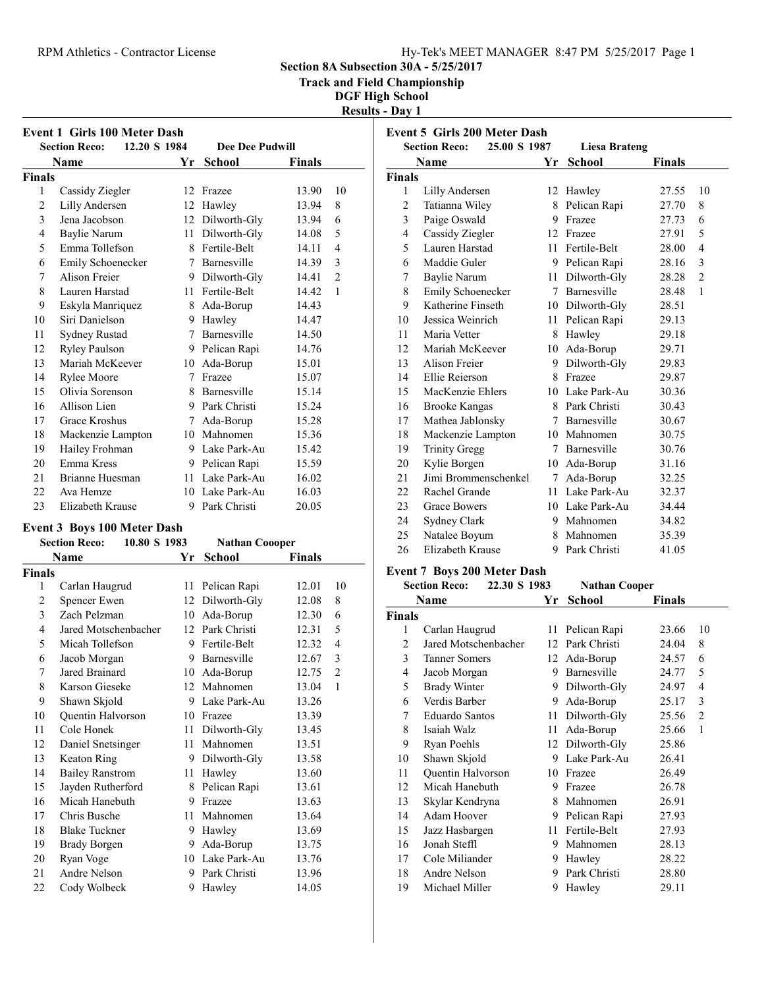### RPM Athletics - Contractor License Hy-Tek's MEET MANAGER 8:47 PM 5/25/2017 Page 1

Section 8A Subsection 30A - 5/25/2017

Track and Field Championship

DGF High School Results - Day 1

| <b>Event 1 Girls 100 Meter Dash</b><br>12.20 S 1984<br><b>Dee Dee Pudwill</b><br><b>Section Reco:</b> |                      |    |                    |        |    |  |  |
|-------------------------------------------------------------------------------------------------------|----------------------|----|--------------------|--------|----|--|--|
| Name                                                                                                  |                      | Yr | School             | Finals |    |  |  |
| <b>Finals</b>                                                                                         |                      |    |                    |        |    |  |  |
| 1                                                                                                     | Cassidy Ziegler      | 12 | Frazee             | 13.90  | 10 |  |  |
| $\overline{c}$                                                                                        | Lilly Andersen       | 12 | Hawley             | 13.94  | 8  |  |  |
| 3                                                                                                     | Jena Jacobson        | 12 | Dilworth-Gly       | 13.94  | 6  |  |  |
| 4                                                                                                     | Baylie Narum         | 11 | Dilworth-Gly       | 14.08  | 5  |  |  |
| 5                                                                                                     | Emma Tollefson       | 8  | Fertile-Belt       | 14.11  | 4  |  |  |
| 6                                                                                                     | Emily Schoenecker    | 7  | Barnesville        | 14.39  | 3  |  |  |
| 7                                                                                                     | Alison Freier        |    | 9 Dilworth-Gly     | 14.41  | 2  |  |  |
| 8                                                                                                     | Lauren Harstad       | 11 | Fertile-Belt       | 14.42  | 1  |  |  |
| 9                                                                                                     | Eskyla Manriquez     |    | 8 Ada-Borup        | 14.43  |    |  |  |
| 10                                                                                                    | Siri Danielson       | 9  | Hawley             | 14.47  |    |  |  |
| 11                                                                                                    | Sydney Rustad        | 7  | <b>Barnesville</b> | 14.50  |    |  |  |
| 12                                                                                                    | <b>Ryley Paulson</b> |    | 9 Pelican Rapi     | 14.76  |    |  |  |
| 13                                                                                                    | Mariah McKeever      | 10 | Ada-Borup          | 15.01  |    |  |  |
| 14                                                                                                    | Rylee Moore          | 7  | Frazee             | 15.07  |    |  |  |
| 15                                                                                                    | Olivia Sorenson      |    | 8 Barnesville      | 15.14  |    |  |  |
| 16                                                                                                    | Allison Lien         |    | 9 Park Christi     | 15.24  |    |  |  |
| 17                                                                                                    | Grace Kroshus        | 7  | Ada-Borup          | 15.28  |    |  |  |
| 18                                                                                                    | Mackenzie Lampton    |    | 10 Mahnomen        | 15.36  |    |  |  |
| 19                                                                                                    | Hailey Frohman       | 9  | Lake Park-Au       | 15.42  |    |  |  |
| 20                                                                                                    | Emma Kress           | 9  | Pelican Rapi       | 15.59  |    |  |  |
| 21                                                                                                    | Brianne Huesman      | 11 | Lake Park-Au       | 16.02  |    |  |  |
| 22                                                                                                    | Ava Hemze            | 10 | Lake Park-Au       | 16.03  |    |  |  |
| 23                                                                                                    | Elizabeth Krause     | 9  | Park Christi       | 20.05  |    |  |  |

### Event 3 Boys 100 Meter Dash

|                | 10.80 S 1983<br><b>Section Reco:</b> |    | <b>Nathan Coooper</b> |               |    |
|----------------|--------------------------------------|----|-----------------------|---------------|----|
|                | Name                                 | Yr | School                | <b>Finals</b> |    |
| <b>Finals</b>  |                                      |    |                       |               |    |
| 1              | Carlan Haugrud                       | 11 | Pelican Rapi          | 12.01         | 10 |
| $\overline{c}$ | Spencer Ewen                         | 12 | Dilworth-Gly          | 12.08         | 8  |
| 3              | Zach Pelzman                         | 10 | Ada-Borup             | 12.30         | 6  |
| 4              | Jared Motschenbacher                 |    | 12 Park Christi       | 12.31         | 5  |
| 5              | Micah Tollefson                      | 9  | Fertile-Belt          | 12.32         | 4  |
| 6              | Jacob Morgan                         | 9  | Barnesville           | 12.67         | 3  |
| 7              | Jared Brainard                       | 10 | Ada-Borup             | 12.75         | 2  |
| 8              | Karson Gieseke                       | 12 | Mahnomen              | 13.04         | 1  |
| 9              | Shawn Skjold                         | 9  | Lake Park-Au          | 13.26         |    |
| 10             | Quentin Halvorson                    | 10 | Frazee                | 13.39         |    |
| 11             | Cole Honek                           | 11 | Dilworth-Gly          | 13.45         |    |
| 12             | Daniel Snetsinger                    | 11 | Mahnomen              | 13.51         |    |
| 13             | Keaton Ring                          | 9  | Dilworth-Gly          | 13.58         |    |
| 14             | <b>Bailey Ranstrom</b>               | 11 | Hawley                | 13.60         |    |
| 15             | Jayden Rutherford                    | 8  | Pelican Rapi          | 13.61         |    |
| 16             | Micah Hanebuth                       | 9  | Frazee                | 13.63         |    |
| 17             | Chris Busche                         | 11 | Mahnomen              | 13.64         |    |
| 18             | <b>Blake Tuckner</b>                 | 9. | Hawley                | 13.69         |    |
| 19             | <b>Brady Borgen</b>                  | 9. | Ada-Borup             | 13.75         |    |
| 20             | Ryan Voge                            | 10 | Lake Park-Au          | 13.76         |    |
| 21             | Andre Nelson                         | 9  | Park Christi          | 13.96         |    |
| 22             | Cody Wolbeck                         | 9  | Hawley                | 14.05         |    |

|        | <b>Event 5 Girls 200 Meter Dash</b>  |    |                 |        |                |
|--------|--------------------------------------|----|-----------------|--------|----------------|
|        | <b>Section Reco:</b><br>25.00 S 1987 |    | Liesa Brateng   |        |                |
|        | Name                                 | Yr | <b>School</b>   | Finals |                |
| Finals |                                      |    |                 |        |                |
| 1      | Lilly Andersen                       | 12 | Hawley          | 27.55  | 10             |
| 2      | Tatianna Wiley                       | 8  | Pelican Rapi    | 27.70  | 8              |
| 3      | Paige Oswald                         |    | 9 Frazee        | 27.73  | 6              |
| 4      | Cassidy Ziegler                      | 12 | Frazee          | 27.91  | 5              |
| 5      | Lauren Harstad                       | 11 | Fertile-Belt    | 28.00  | 4              |
| 6      | Maddie Guler                         |    | 9 Pelican Rapi  | 28.16  | 3              |
| 7      | Baylie Narum                         | 11 | Dilworth-Gly    | 28.28  | $\overline{2}$ |
| 8      | Emily Schoenecker                    |    | 7 Barnesville   | 28.48  | $\mathbf{1}$   |
| 9      | Katherine Finseth                    |    | 10 Dilworth-Gly | 28.51  |                |
| 10     | Jessica Weinrich                     | 11 | Pelican Rapi    | 29.13  |                |
| 11     | Maria Vetter                         | 8  | Hawley          | 29.18  |                |
| 12     | Mariah McKeever                      |    | 10 Ada-Borup    | 29.71  |                |
| 13     | Alison Freier                        | 9  | Dilworth-Gly    | 29.83  |                |
| 14     | Ellie Reierson                       | 8  | Frazee          | 29.87  |                |
| 15     | MacKenzie Ehlers                     |    | 10 Lake Park-Au | 30.36  |                |
| 16     | <b>Brooke Kangas</b>                 |    | 8 Park Christi  | 30.43  |                |
| 17     | Mathea Jablonsky                     | 7  | Barnesville     | 30.67  |                |
| 18     | Mackenzie Lampton                    |    | 10 Mahnomen     | 30.75  |                |
| 19     | <b>Trinity Gregg</b>                 |    | 7 Barnesville   | 30.76  |                |
| 20     | Kylie Borgen                         | 10 | Ada-Borup       | 31.16  |                |
| 21     | Jimi Brommenschenkel                 | 7  | Ada-Borup       | 32.25  |                |
| 22     | Rachel Grande                        | 11 | Lake Park-Au    | 32.37  |                |
| 23     | <b>Grace Bowers</b>                  |    | 10 Lake Park-Au | 34.44  |                |
| 24     | Sydney Clark                         |    | 9 Mahnomen      | 34.82  |                |
| 25     | Natalee Boyum                        |    | 8 Mahnomen      | 35.39  |                |
| 26     | Elizabeth Krause                     | 9  | Park Christi    | 41.05  |                |

### Event 7 Boys 200 Meter Dash

|        | <b>Section Reco:</b><br>22.30 S 1983 |    | <b>Nathan Cooper</b> |        |    |
|--------|--------------------------------------|----|----------------------|--------|----|
|        | Name                                 | Yr | School               | Finals |    |
| Finals |                                      |    |                      |        |    |
| 1      | Carlan Haugrud                       | 11 | Pelican Rapi         | 23.66  | 10 |
| 2      | Jared Motschenbacher                 |    | 12 Park Christi      | 24.04  | 8  |
| 3      | <b>Tanner Somers</b>                 | 12 | Ada-Borup            | 24.57  | 6  |
| 4      | Jacob Morgan                         | 9  | Barnesville          | 24.77  | 5  |
| 5      | <b>Brady Winter</b>                  | 9. | Dilworth-Gly         | 24.97  | 4  |
| 6      | Verdis Barber                        | 9  | Ada-Borup            | 25.17  | 3  |
| 7      | Eduardo Santos                       | 11 | Dilworth-Gly         | 25.56  | 2  |
| 8      | Isaiah Walz                          | 11 | Ada-Borup            | 25.66  | 1  |
| 9      | Ryan Poehls                          | 12 | Dilworth-Gly         | 25.86  |    |
| 10     | Shawn Skjold                         | 9  | Lake Park-Au         | 26.41  |    |
| 11     | Quentin Halvorson                    | 10 | Frazee               | 26.49  |    |
| 12     | Micah Hanebuth                       | 9  | Frazee               | 26.78  |    |
| 13     | Skylar Kendryna                      | 8  | Mahnomen             | 26.91  |    |
| 14     | Adam Hoover                          | 9  | Pelican Rapi         | 27.93  |    |
| 15     | Jazz Hasbargen                       | 11 | Fertile-Belt         | 27.93  |    |
| 16     | Jonah Steffl                         | 9  | Mahnomen             | 28.13  |    |
| 17     | Cole Miliander                       | 9. | Hawley               | 28.22  |    |
| 18     | Andre Nelson                         | 9  | Park Christi         | 28.80  |    |
| 19     | Michael Miller                       | 9  | Hawley               | 29.11  |    |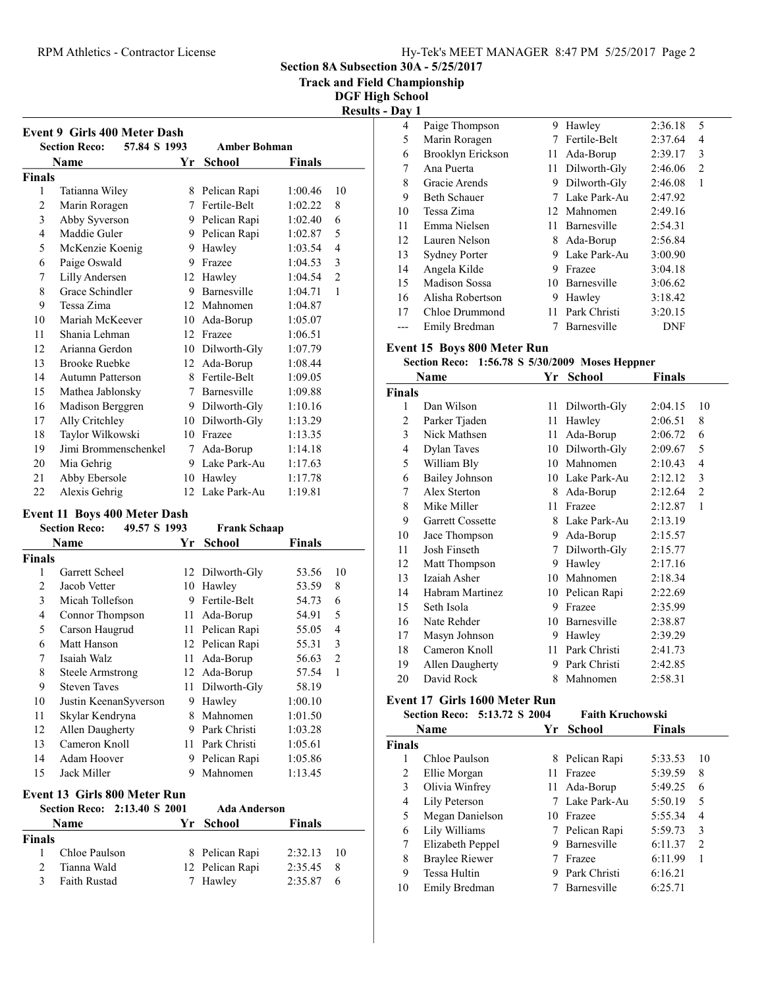### RPM Athletics - Contractor License Hy-Tek's MEET MANAGER 8:47 PM 5/25/2017 Page 2

Section 8A Subsection 30A - 5/25/2017

Track and Field Championship

DGF High School Results - Day 1

|               | 57.84 S 1993<br><b>Section Reco:</b>                                        |             | <b>Amber Bohman</b> |               |                |
|---------------|-----------------------------------------------------------------------------|-------------|---------------------|---------------|----------------|
|               | Name                                                                        | Yr          | <b>School</b>       | <b>Finals</b> |                |
| <b>Finals</b> |                                                                             |             |                     |               |                |
| 1             | Tatianna Wiley                                                              |             | 8 Pelican Rapi      | 1:00.46       | 10             |
| 2             | Marin Roragen                                                               |             | 7 Fertile-Belt      | 1:02.22       | 8              |
| 3             | Abby Syverson                                                               |             | 9 Pelican Rapi      | 1:02.40       | 6              |
| 4             | Maddie Guler                                                                |             | 9 Pelican Rapi      | 1:02.87       | 5              |
| 5             | McKenzie Koenig                                                             |             | 9 Hawley            | 1:03.54       | 4              |
| 6             | Paige Oswald                                                                |             | 9 Frazee            | 1:04.53       | 3              |
| 7             | Lilly Andersen                                                              | 12          | Hawley              | 1:04.54       | $\overline{2}$ |
| 8             | Grace Schindler                                                             |             | 9 Barnesville       | 1:04.71       | $\mathbf{1}$   |
| 9             | Tessa Zima                                                                  |             | 12 Mahnomen         | 1:04.87       |                |
| 10            | Mariah McKeever                                                             |             | 10 Ada-Borup        | 1:05.07       |                |
| 11            | Shania Lehman                                                               |             | 12 Frazee           | 1:06.51       |                |
| 12            | Arianna Gerdon                                                              |             | 10 Dilworth-Gly     | 1:07.79       |                |
| 13            | <b>Brooke Ruebke</b>                                                        |             | 12 Ada-Borup        | 1:08.44       |                |
| 14            | <b>Autumn Patterson</b>                                                     | 8           | Fertile-Belt        | 1:09.05       |                |
| 15            | Mathea Jablonsky                                                            |             | 7 Barnesville       | 1:09.88       |                |
| 16            | Madison Berggren                                                            |             | 9 Dilworth-Gly      | 1:10.16       |                |
| 17            | Ally Critchley                                                              |             | 10 Dilworth-Gly     | 1:13.29       |                |
| 18            | Taylor Wilkowski                                                            |             | 10 Frazee           | 1:13.35       |                |
| 19            | Jimi Brommenschenkel                                                        | $7^{\circ}$ | Ada-Borup           | 1:14.18       |                |
| 20            | Mia Gehrig                                                                  |             | 9 Lake Park-Au      | 1:17.63       |                |
| 21            | Abby Ebersole                                                               |             | 10 Hawley           | 1:17.78       |                |
| 22            | Alexis Gehrig                                                               | 12          | Lake Park-Au        | 1:19.81       |                |
|               |                                                                             |             |                     |               |                |
|               | <b>Event 11 Boys 400 Meter Dash</b><br><b>Section Reco:</b><br>49.57 S 1993 |             | <b>Frank Schaap</b> |               |                |

| 49.57 S 1993<br><b>Section Reco:</b> |                              |    | <b>Frank Schaap</b> |               |                |
|--------------------------------------|------------------------------|----|---------------------|---------------|----------------|
|                                      | Name                         | Yr | <b>School</b>       | Finals        |                |
| <b>Finals</b>                        |                              |    |                     |               |                |
| 1                                    | Garrett Scheel               |    | 12 Dilworth-Gly     | 53.56         | 10             |
| 2                                    | Jacob Vetter                 | 10 | Hawley              | 53.59         | 8              |
| 3                                    | Micah Tollefson              | 9  | Fertile-Belt        | 54.73         | 6              |
| 4                                    | Connor Thompson              | 11 | Ada-Borup           | 54.91         | 5              |
| 5                                    | Carson Haugrud               | 11 | Pelican Rapi        | 55.05         | $\overline{4}$ |
| 6                                    | Matt Hanson                  | 12 | Pelican Rapi        | 55.31         | 3              |
| 7                                    | Isaiah Walz                  | 11 | Ada-Borup           | 56.63         | 2              |
| 8                                    | Steele Armstrong             | 12 | Ada-Borup           | 57.54         | 1              |
| 9                                    | <b>Steven Taves</b>          | 11 | Dilworth-Gly        | 58.19         |                |
| 10                                   | Justin KeenanSyverson        | 9  | Hawley              | 1:00.10       |                |
| 11                                   | Skylar Kendryna              | 8  | Mahnomen            | 1:01.50       |                |
| 12                                   | Allen Daugherty              | 9  | Park Christi        | 1:03.28       |                |
| 13                                   | Cameron Knoll                | 11 | Park Christi        | 1:05.61       |                |
| 14                                   | Adam Hoover                  | 9  | Pelican Rapi        | 1:05.86       |                |
| 15                                   | Jack Miller                  | 9  | Mahnomen            | 1:13.45       |                |
|                                      | Event 13 Girls 800 Meter Run |    |                     |               |                |
|                                      | Section Reco: 2:13.40 S 2001 |    | <b>Ada Anderson</b> |               |                |
|                                      | Name                         | Yr | School              | <b>Finals</b> |                |
| Finals                               |                              |    |                     |               |                |
| 1                                    | Chloe Paulson                | 8  | Pelican Rapi        | 2:32.13       | 10             |

2 12 Pelican Rapi 2:35.45 8<br>3 Faith Rustad 7 Hawley 2:35.87 6 3 2:35.87 6 Faith Rustad 7 Hawley

| ij a 1 | л.                   |    |                 |         |                |  |
|--------|----------------------|----|-----------------|---------|----------------|--|
| 4      | Paige Thompson       | 9  | Hawley          | 2:36.18 | 5              |  |
| 5      | Marin Roragen        | 7  | Fertile-Belt    | 2:37.64 | 4              |  |
| 6      | Brooklyn Erickson    | 11 | Ada-Borup       | 2:39.17 | 3              |  |
| 7      | Ana Puerta           |    | 11 Dilworth-Gly | 2:46.06 | $\overline{2}$ |  |
| 8      | Gracie Arends        | 9  | Dilworth-Gly    | 2:46.08 | 1              |  |
| 9      | <b>Beth Schauer</b>  |    | Lake Park-Au    | 2:47.92 |                |  |
| 10     | Tessa Zima           |    | 12 Mahnomen     | 2:49.16 |                |  |
| 11     | Emma Nielsen         | 11 | Barnesville     | 2:54.31 |                |  |
| 12     | Lauren Nelson        | 8  | Ada-Borup       | 2:56.84 |                |  |
| 13     | <b>Sydney Porter</b> | 9  | Lake Park-Au    | 3:00.90 |                |  |
| 14     | Angela Kilde         | 9  | Frazee          | 3:04.18 |                |  |
| 15     | Madison Sossa        | 10 | Barnesville     | 3:06.62 |                |  |
| 16     | Alisha Robertson     | 9  | Hawley          | 3:18.42 |                |  |
| 17     | Chloe Drummond       | 11 | Park Christi    | 3:20.15 |                |  |
|        | Emily Bredman        |    | Barnesville     | DNF     |                |  |

### Event 15 Boys 800 Meter Run

### Section Reco:  $1:56.78$  S  $5/30/2009$  Moses Heppner

|               | Name                  | Yr | School       | <b>Finals</b> |                |
|---------------|-----------------------|----|--------------|---------------|----------------|
| <b>Finals</b> |                       |    |              |               |                |
| 1             | Dan Wilson            | 11 | Dilworth-Gly | 2:04.15       | 10             |
| 2             | Parker Tjaden         | 11 | Hawley       | 2:06.51       | 8              |
| 3             | Nick Mathsen          | 11 | Ada-Borup    | 2:06.72       | 6              |
| 4             | <b>Dylan Taves</b>    | 10 | Dilworth-Gly | 2:09.67       | 5              |
| 5             | William Bly           | 10 | Mahnomen     | 2:10.43       | 4              |
| 6             | <b>Bailey Johnson</b> | 10 | Lake Park-Au | 2:12.12       | 3              |
| 7             | Alex Sterton          | 8  | Ada-Borup    | 2:12.64       | $\overline{c}$ |
| 8             | Mike Miller           | 11 | Frazee       | 2:12.87       | 1              |
| 9             | Garrett Cossette      | 8  | Lake Park-Au | 2:13.19       |                |
| 10            | Jace Thompson         | 9  | Ada-Borup    | 2:15.57       |                |
| 11            | Josh Finseth          | 7  | Dilworth-Gly | 2:15.77       |                |
| 12            | Matt Thompson         | 9  | Hawley       | 2:17.16       |                |
| 13            | Izaiah Asher          | 10 | Mahnomen     | 2:18.34       |                |
| 14            | Habram Martinez       | 10 | Pelican Rapi | 2:22.69       |                |
| 15            | Seth Isola            | 9  | Frazee       | 2:35.99       |                |
| 16            | Nate Rehder           | 10 | Barnesville  | 2:38.87       |                |
| 17            | Masyn Johnson         | 9  | Hawley       | 2:39.29       |                |
| 18            | Cameron Knoll         | 11 | Park Christi | 2:41.73       |                |
| 19            | Allen Daugherty       | 9  | Park Christi | 2:42.85       |                |
| 20            | David Rock            | 8  | Mahnomen     | 2:58.31       |                |

### Event 17 Girls 1600 Meter Run

|               | Section Reco: 5:13.72 S 2004 |    | <b>Faith Kruchowski</b> |               |                                                                                                                                                                                                                                                                                                                                                                                                        |
|---------------|------------------------------|----|-------------------------|---------------|--------------------------------------------------------------------------------------------------------------------------------------------------------------------------------------------------------------------------------------------------------------------------------------------------------------------------------------------------------------------------------------------------------|
|               | <b>Name</b>                  | Yr | School                  | <b>Finals</b> |                                                                                                                                                                                                                                                                                                                                                                                                        |
| <b>Finals</b> |                              |    |                         |               |                                                                                                                                                                                                                                                                                                                                                                                                        |
|               | Chloe Paulson                |    | 8 Pelican Rapi          | 5:33.53       | 10                                                                                                                                                                                                                                                                                                                                                                                                     |
| 2             | Ellie Morgan                 | 11 | Frazee                  | 5:39.59       | 8                                                                                                                                                                                                                                                                                                                                                                                                      |
| 3             | Olivia Winfrey               | 11 | Ada-Borup               | 5:49.25       | 6                                                                                                                                                                                                                                                                                                                                                                                                      |
| 4             | Lily Peterson                |    | Lake Park-Au            | 5:50.19       | 5                                                                                                                                                                                                                                                                                                                                                                                                      |
| 5             | Megan Danielson              |    | 10 Frazee               | 5:55.34       | 4                                                                                                                                                                                                                                                                                                                                                                                                      |
| 6             | Lily Williams                |    | 7 Pelican Rapi          | 5:59.73       | 3                                                                                                                                                                                                                                                                                                                                                                                                      |
| 7             | Elizabeth Peppel             | 9  | Barnesville             | 6:11.37       | $\mathfrak{D}_{1}^{(1)}=\mathfrak{D}_{2}^{(2)}=\mathfrak{D}_{2}^{(1)}=\mathfrak{D}_{2}^{(1)}=\mathfrak{D}_{2}^{(1)}=\mathfrak{D}_{2}^{(1)}=\mathfrak{D}_{2}^{(1)}=\mathfrak{D}_{2}^{(1)}=\mathfrak{D}_{2}^{(1)}=\mathfrak{D}_{2}^{(1)}=\mathfrak{D}_{2}^{(1)}=\mathfrak{D}_{2}^{(1)}=\mathfrak{D}_{2}^{(1)}=\mathfrak{D}_{2}^{(1)}=\mathfrak{D}_{2}^{(1)}=\mathfrak{D}_{2}^{(1)}=\mathfrak{D}_{2}^{(1$ |
| 8             | <b>Braylee Riewer</b>        |    | Frazee                  | 6:11.99       | 1                                                                                                                                                                                                                                                                                                                                                                                                      |
| 9             | <b>Tessa Hultin</b>          | 9  | Park Christi            | 6:16.21       |                                                                                                                                                                                                                                                                                                                                                                                                        |
| 10            | Emily Bredman                |    | Barnesville             | 6:25.71       |                                                                                                                                                                                                                                                                                                                                                                                                        |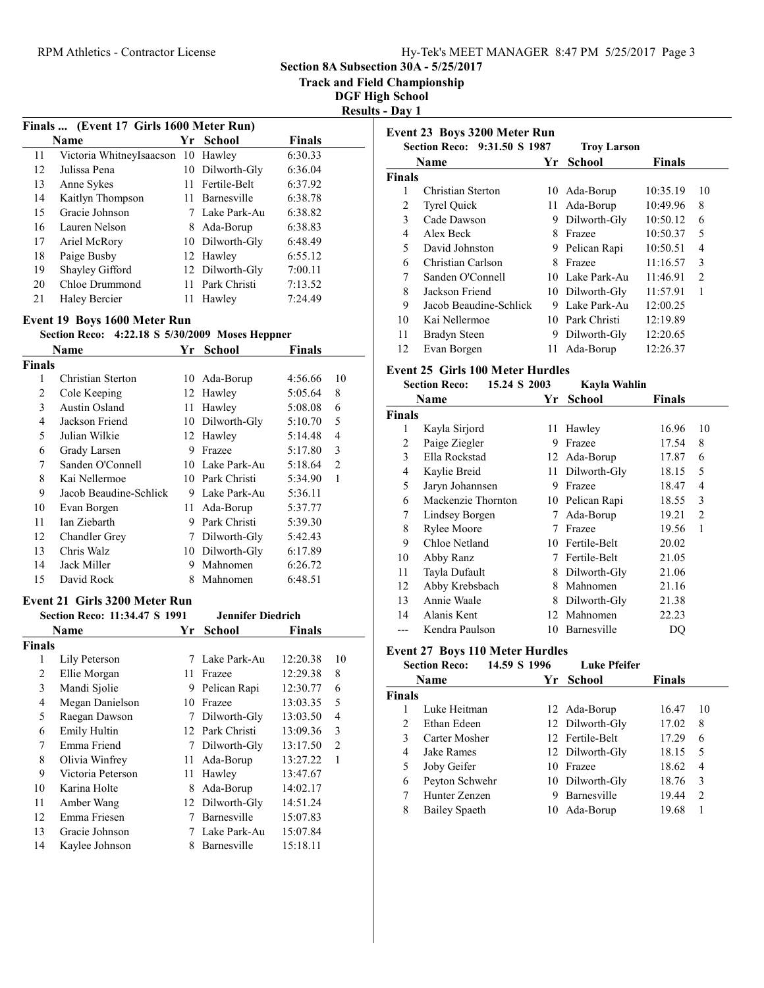### RPM Athletics - Contractor License Hy-Tek's MEET MANAGER 8:47 PM 5/25/2017 Page 3

Section 8A Subsection 30A - 5/25/2017

Track and Field Championship

DGF High School  $\text{sults}$  - Day 1

|    | Finals  (Event 17 Girls 1600 Meter Run) |     |                 |               |
|----|-----------------------------------------|-----|-----------------|---------------|
|    | <b>Name</b>                             |     | Yr School       | <b>Finals</b> |
| 11 | Victoria WhitneyIsaacson                | -10 | Hawley          | 6:30.33       |
| 12 | Julissa Pena                            | 10  | Dilworth-Gly    | 6:36.04       |
| 13 | Anne Sykes                              |     | 11 Fertile-Belt | 6:37.92       |
| 14 | Kaitlyn Thompson                        |     | 11 Barnesville  | 6:38.78       |
| 15 | Gracie Johnson                          |     | 7 Lake Park-Au  | 6:38.82       |
| 16 | Lauren Nelson                           | 8.  | Ada-Borup       | 6:38.83       |
| 17 | Ariel McRory                            |     | 10 Dilworth-Gly | 6:48.49       |
| 18 | Paige Busby                             |     | 12 Hawley       | 6:55.12       |
| 19 | Shayley Gifford                         |     | 12 Dilworth-Gly | 7:00.11       |
| 20 | Chloe Drummond                          | 11. | Park Christi    | 7:13.52       |
| 21 | Haley Bercier                           | 11  | Hawley          | 7:24.49       |

### Event 19 Boys 1600 Meter Run

# Section Reco:  $4:22.18$  S  $5/30/2009$  Moses Heppner<br>Name  $\overline{X}$  School Einals

|        | Name                   | Yr. | <b>School</b>   | <b>Finals</b> |                               |
|--------|------------------------|-----|-----------------|---------------|-------------------------------|
| Finals |                        |     |                 |               |                               |
| 1      | Christian Sterton      |     | 10 Ada-Borup    | 4:56.66       | 10                            |
| 2      | Cole Keeping           |     | 12 Hawley       | 5:05.64       | 8                             |
| 3      | Austin Osland          | 11  | Hawley          | 5:08.08       | 6                             |
| 4      | Jackson Friend         |     | 10 Dilworth-Gly | 5:10.70       | 5                             |
| 5      | Julian Wilkie          |     | 12 Hawley       | 5:14.48       | 4                             |
| 6      | Grady Larsen           | 9   | Frazee          | 5:17.80       | 3                             |
| 7      | Sanden O'Connell       | 10  | Lake Park-Au    | 5:18.64       | $\mathfrak{D}_{\mathfrak{p}}$ |
| 8      | Kai Nellermoe          | 10  | Park Christi    | 5:34.90       | 1                             |
| 9      | Jacob Beaudine-Schlick | 9   | Lake Park-Au    | 5:36.11       |                               |
| 10     | Evan Borgen            | 11  | Ada-Borup       | 5:37.77       |                               |
| 11     | Ian Ziebarth           | 9   | Park Christi    | 5:39.30       |                               |
| 12     | <b>Chandler Grey</b>   | 7   | Dilworth-Gly    | 5:42.43       |                               |
| 13     | Chris Walz             | 10  | Dilworth-Gly    | 6:17.89       |                               |
| 14     | Jack Miller            | 9   | Mahnomen        | 6:26.72       |                               |
| 15     | David Rock             | 8   | Mahnomen        | 6:48.51       |                               |

#### Event 21 Girls 3200 Meter Run

| Finals                     |
|----------------------------|
|                            |
|                            |
| 12:20.38<br>10             |
| 12:29.38<br>8              |
| 12:30.77<br>6              |
| 5<br>13:03.35              |
| 13:03.50<br>4              |
| 13:09.36<br>3              |
| $\overline{2}$<br>13:17.50 |
| 13:27.22<br>1              |
| 13:47.67                   |
| 14:02.17                   |
| 14:51.24                   |
| 15:07.83                   |
| 15:07.84                   |
| 15:18.11                   |
|                            |

|        | Event 23 Boys 3200 Meter Run |     |                    |               |                |
|--------|------------------------------|-----|--------------------|---------------|----------------|
|        | Section Reco: 9:31.50 S 1987 |     | <b>Troy Larson</b> |               |                |
|        | Name                         | Yr  | School             | <b>Finals</b> |                |
| Finals |                              |     |                    |               |                |
|        | Christian Sterton            | 10  | Ada-Borup          | 10:35.19      | 10             |
| 2      | <b>Tyrel Quick</b>           | 11. | Ada-Borup          | 10:49.96      | 8              |
| 3      | Cade Dawson                  | 9   | Dilworth-Gly       | 10:50.12      | 6              |
| 4      | Alex Beck                    | 8   | Frazee             | 10:50.37      | 5              |
| 5      | David Johnston               | 9   | Pelican Rapi       | 10:50.51      | 4              |
| 6      | Christian Carlson            | 8   | Frazee             | 11:16.57      | 3              |
| 7      | Sanden O'Connell             |     | 10 Lake Park-Au    | 11:46.91      | $\mathfrak{D}$ |
| 8      | Jackson Friend               |     | 10 Dilworth-Gly    | 11:57.91      | 1              |
| 9      | Jacob Beaudine-Schlick       | 9   | Lake Park-Au       | 12:00.25      |                |
| 10     | Kai Nellermoe                | 10  | Park Christi       | 12:19.89      |                |
| 11     | Bradyn Steen                 | 9   | Dilworth-Gly       | 12:20.65      |                |
| 12     | Evan Borgen                  | 11  | Ada-Borup          | 12:26.37      |                |
|        |                              |     |                    |               |                |

### Event 25 Girls 100 Meter Hurdles

|                | <b>Section Reco:</b> | 15.24 S 2003 | Kayla Wahlin |        |                |
|----------------|----------------------|--------------|--------------|--------|----------------|
|                | Name                 | Yr           | School       | Finals |                |
| <b>Finals</b>  |                      |              |              |        |                |
| 1              | Kayla Sirjord        | 11           | Hawley       | 16.96  | 10             |
| 2              | Paige Ziegler        | 9            | Frazee       | 17.54  | 8              |
| 3              | Ella Rockstad        |              | 12 Ada-Borup | 17.87  | 6              |
| $\overline{4}$ | Kaylie Breid         | 11           | Dilworth-Gly | 18.15  | 5              |
| 5              | Jaryn Johannsen      | 9            | Frazee       | 18.47  | 4              |
| 6              | Mackenzie Thornton   | 10           | Pelican Rapi | 18.55  | 3              |
| 7              | Lindsey Borgen       | 7            | Ada-Borup    | 19.21  | $\overline{2}$ |
| 8              | Rylee Moore          | 7            | Frazee       | 19.56  | 1              |
| 9              | Chloe Netland        | 10           | Fertile-Belt | 20.02  |                |
| 10             | Abby Ranz            | 7            | Fertile-Belt | 21.05  |                |
| 11             | Tayla Dufault        | 8            | Dilworth-Gly | 21.06  |                |
| 12             | Abby Krebsbach       | 8            | Mahnomen     | 21.16  |                |
| 13             | Annie Waale          | 8            | Dilworth-Gly | 21.38  |                |
| 14             | Alanis Kent          | 12           | Mahnomen     | 22.23  |                |
| ---            | Kendra Paulson       | 10           | Barnesville  | DO     |                |

### Event 27 Boys 110 Meter Hurdles

|             |                                               |                                                                                          | <b>Luke Pfeifer</b> |                                                                                                                             |               |
|-------------|-----------------------------------------------|------------------------------------------------------------------------------------------|---------------------|-----------------------------------------------------------------------------------------------------------------------------|---------------|
|             |                                               |                                                                                          | <b>School</b>       | <b>Finals</b>                                                                                                               |               |
|             |                                               |                                                                                          |                     |                                                                                                                             |               |
|             |                                               |                                                                                          |                     | 16.47                                                                                                                       | 10            |
| Ethan Edeen |                                               |                                                                                          |                     | 17.02                                                                                                                       | 8             |
|             |                                               |                                                                                          |                     | 17.29                                                                                                                       | 6             |
| Jake Rames  |                                               |                                                                                          |                     | 18.15                                                                                                                       | 5             |
| Joby Geifer |                                               |                                                                                          |                     | 18.62                                                                                                                       | 4             |
|             |                                               |                                                                                          |                     | 18.76                                                                                                                       | 3             |
|             |                                               |                                                                                          |                     | 19.44                                                                                                                       | $\mathcal{L}$ |
|             |                                               | 10                                                                                       | Ada-Borup           | 19.68                                                                                                                       |               |
|             | <b>Section Reco:</b><br><b>Name</b><br>Finals | Luke Heitman<br>Carter Mosher<br>Peyton Schwehr<br>Hunter Zenzen<br><b>Bailey Spaeth</b> | 14.59 S 1996        | Yr.<br>12 Ada-Borup<br>12 Dilworth-Gly<br>12 Fertile-Belt<br>12 Dilworth-Gly<br>10 Frazee<br>10 Dilworth-Gly<br>Barnesville |               |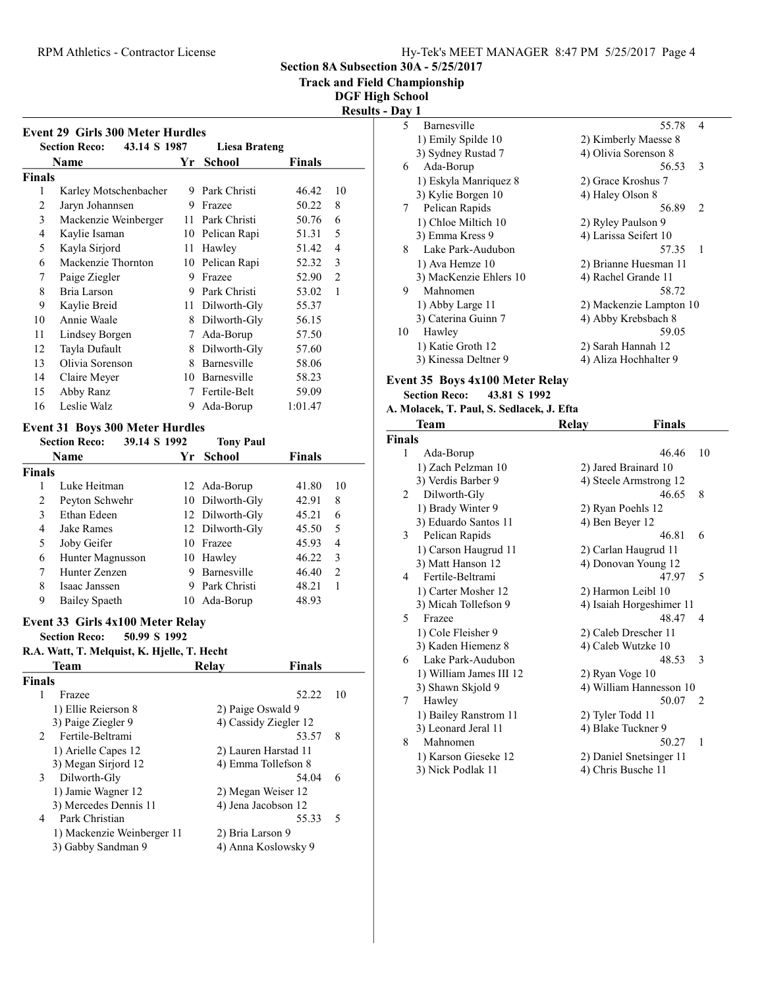| Hy-Tek's MEET MANAGER 8:47 PM 5/25/2017 Page 4 |  |  |  |
|------------------------------------------------|--|--|--|
|------------------------------------------------|--|--|--|

5 5.78 4<br>1) Emily Spilde 10 55.78 4<br>2) Kimberly Maesse 8 1) Emily Spilde 10 2) Kimberly Maesse 8<br>3) Sydney Rustad 7 4) Olivia Sorenson 8

4) Olivia Sorenson 8

Section 8A Subsection 30A - 5/25/2017

Track and Field Championship

igh School

|                                                                                | <b>DGF High Schoo</b>         |
|--------------------------------------------------------------------------------|-------------------------------|
|                                                                                | <b>Results - Day 1</b><br>5   |
| <b>Event 29 Girls 300 Meter Hurdles</b>                                        | 1)                            |
| 43.14 S 1987<br><b>Section Reco:</b>                                           | <b>Liesa Brateng</b><br>3)    |
| <b>School</b><br>Name<br>Yr                                                    | <b>Finals</b><br>6            |
| <b>Finals</b>                                                                  | 1)                            |
| 9 Park Christi<br>1<br>Karley Motschenbacher                                   | 10<br>46.42<br>3)             |
| 2<br>Jaryn Johannsen<br>9 Frazee                                               | 50.22<br>$\,8\,$<br>7         |
| 3<br>Mackenzie Weinberger<br>Park Christi<br>11                                | 50.76<br>6<br>1)              |
| 4<br>Kaylie Isaman<br>10<br>Pelican Rapi                                       | 5<br>51.31<br>3)              |
| 5<br>Kayla Sirjord<br>11<br>Hawley                                             | $\overline{4}$<br>51.42<br>8  |
| Mackenzie Thornton<br>Pelican Rapi<br>6<br>10                                  | 3<br>52.32<br>1)              |
| Paige Ziegler<br>9<br>Frazee<br>7                                              | $\overline{2}$<br>52.90<br>3) |
| Park Christi<br>8<br>Bria Larson<br>9                                          | 9<br>53.02<br>$\mathbf{1}$    |
| Kaylie Breid<br>9<br>Dilworth-Gly<br>11                                        | 55.37<br>1)                   |
| 10<br>Annie Waale<br>Dilworth-Gly<br>8                                         | 3)<br>56.15                   |
| Ada-Borup<br>11<br>Lindsey Borgen<br>7                                         | 10<br>57.50                   |
| 12<br>Tayla Dufault<br>Dilworth-Gly<br>8                                       | 1)<br>57.60                   |
| Olivia Sorenson<br>Barnesville<br>13<br>8                                      | 3)<br>58.06                   |
| Barnesville<br>14<br>Claire Meyer<br>10                                        | 58.23<br><b>Event 3</b>       |
| Abby Ranz<br>Fertile-Belt<br>15<br>7                                           | 59.09<br>Secti                |
| Leslie Walz<br>16<br>Ada-Borup<br>9                                            | 1:01.47<br>A. Mola            |
|                                                                                | T                             |
| <b>Event 31 Boys 300 Meter Hurdles</b><br>39.14 S 1992<br><b>Section Reco:</b> | Finals<br><b>Tony Paul</b>    |
| Name<br><b>School</b><br>Yr                                                    | 1<br><b>Finals</b>            |
|                                                                                | 1)                            |
| <b>Finals</b><br>Luke Heitman<br>$\mathbf{1}$                                  | 3)<br>10<br>41.80             |
| 12 Ada-Borup<br>2<br>Peyton Schwehr<br>Dilworth-Gly<br>10                      | $\overline{2}$<br>8<br>42.91  |
| 3<br>Ethan Edeen<br>Dilworth-Gly<br>12                                         | 1)<br>6<br>45.21              |
| 4<br>Dilworth-Gly<br>Jake Rames<br>12                                          | 3)<br>5<br>45.50              |

12 Dilworth-Gly

5 Joby Geifer 10 Frazee 45.93 4 6 46.22 3 Hunter Magnusson 10 Hawley 7 46.40 2 Hunter Zenzen 9 Barnesville 8 Isaac Janssen 9 Park Christi 48.21 1 9 48.93 Bailey Spaeth 10 Ada-Borup

| 6  | Ada-Borup                                                               | 56.53                   | 3   |
|----|-------------------------------------------------------------------------|-------------------------|-----|
|    | 1) Eskyla Manriquez 8                                                   | 2) Grace Kroshus 7      |     |
|    | 3) Kylie Borgen 10                                                      | 4) Haley Olson 8        |     |
|    | 7 Pelican Rapids                                                        | 56.89                   | 2   |
|    | 1) Chloe Miltich 10                                                     | 2) Ryley Paulson 9      |     |
|    | 3) Emma Kress 9                                                         | 4) Larissa Seifert 10   |     |
| 8  | Lake Park-Audubon                                                       | 57.35                   | - 1 |
|    | 1) Ava Hemze 10                                                         | 2) Brianne Huesman 11   |     |
|    | 3) MacKenzie Ehlers 10                                                  | 4) Rachel Grande 11     |     |
| 9  | Mahnomen                                                                | 58.72                   |     |
|    | 1) Abby Large 11                                                        | 2) Mackenzie Lampton 10 |     |
|    | 3) Caterina Guinn 7                                                     | 4) Abby Krebsbach 8     |     |
| 10 | Hawley                                                                  | 59.05                   |     |
|    | 1) Katie Groth 12                                                       | 2) Sarah Hannah 12      |     |
|    | 3) Kinessa Deltner 9                                                    | 4) Aliza Hochhalter 9   |     |
|    |                                                                         |                         |     |
|    | Event 35 Boys 4x100 Meter Relay<br><b>Section Reco:</b><br>43.81 S 1992 |                         |     |
|    |                                                                         |                         |     |

#### A. Molacek, T. Paul, S. Sedlacek, J. Efta

|               | <b>Team</b>             | Relay                | Finals                   |              |
|---------------|-------------------------|----------------------|--------------------------|--------------|
| <b>Finals</b> |                         |                      |                          |              |
| 1             | Ada-Borup               |                      | 46.46                    | 10           |
|               | 1) Zach Pelzman 10      | 2) Jared Brainard 10 |                          |              |
|               | 3) Verdis Barber 9      |                      | 4) Steele Armstrong 12   |              |
| $\mathcal{L}$ | Dilworth-Gly            |                      | 46.65                    | 8            |
|               | 1) Brady Winter 9       | 2) Ryan Poehls 12    |                          |              |
|               | 3) Eduardo Santos 11    | 4) Ben Beyer 12      |                          |              |
| 3             | Pelican Rapids          |                      | 46.81                    | 6            |
|               | 1) Carson Haugrud 11    |                      | 2) Carlan Haugrud 11     |              |
|               | 3) Matt Hanson 12       |                      | 4) Donovan Young 12      |              |
| 4             | Fertile-Beltrami        |                      | 47.97                    | 5            |
|               | 1) Carter Mosher 12     | 2) Harmon Leibl 10   |                          |              |
|               | 3) Micah Tollefson 9    |                      | 4) Isaiah Horgeshimer 11 |              |
| 5             | Frazee                  |                      | 48.47                    | 4            |
|               | 1) Cole Fleisher 9      | 2) Caleb Drescher 11 |                          |              |
|               | 3) Kaden Hiemenz 8      | 4) Caleb Wutzke 10   |                          |              |
| 6             | Lake Park-Audubon       |                      | 48.53                    | 3            |
|               | 1) William James III 12 | 2) Ryan Voge 10      |                          |              |
|               | 3) Shawn Skjold 9       |                      | 4) William Hannesson 10  |              |
| 7             | Hawley                  |                      | 50.07                    | 2            |
|               | 1) Bailey Ranstrom 11   | 2) Tyler Todd 11     |                          |              |
|               | 3) Leonard Jeral 11     | 4) Blake Tuckner 9   |                          |              |
| 8             | Mahnomen                |                      | 50.27                    | $\mathbf{1}$ |
|               | 1) Karson Gieseke 12    |                      | 2) Daniel Snetsinger 11  |              |
|               | 3) Nick Podlak 11       | 4) Chris Busche 11   |                          |              |

# Event 33 Girls 4x100 Meter Relay

Section Reco: 50.99 S 1992

# R.A. Watt, T. Melquist, K. Hjelle, T. Hecht

|               | Team                       | Relav            | <b>Finals</b>         |        |
|---------------|----------------------------|------------------|-----------------------|--------|
| <b>Finals</b> |                            |                  |                       |        |
|               | Frazee                     |                  | 52.22                 | 10     |
|               | 1) Ellie Reierson 8        |                  | 2) Paige Oswald 9     |        |
|               | 3) Paige Ziegler 9         |                  | 4) Cassidy Ziegler 12 |        |
|               | 2 Fertile-Beltrami         |                  | 53.57                 | 8      |
|               | 1) Arielle Capes 12        |                  | 2) Lauren Harstad 11  |        |
|               | 3) Megan Sirjord 12        |                  | 4) Emma Tollefson 8   |        |
| 3             | Dilworth-Gly               |                  | 54.04                 | 6      |
|               | 1) Jamie Wagner 12         |                  | 2) Megan Weiser 12    |        |
|               | 3) Mercedes Dennis 11      |                  | 4) Jena Jacobson 12   |        |
| 4             | Park Christian             |                  | 55.33                 | $\sim$ |
|               | 1) Mackenzie Weinberger 11 | 2) Bria Larson 9 |                       |        |
|               | 3) Gabby Sandman 9         |                  | 4) Anna Koslowsky 9   |        |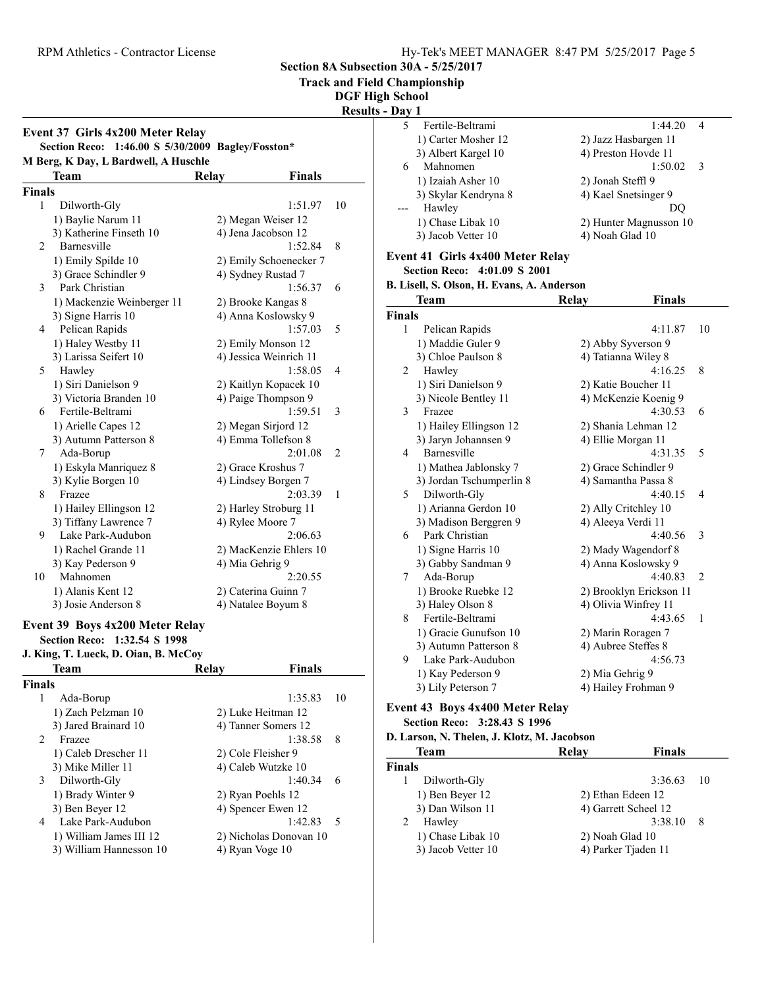Event 37 Girls 4x200 Meter Relay

Section 8A Subsection 30A - 5/25/2017

Track and Field Championship

DGF High School

Results -

### Section Reco: 1:46.00 S 5/30/2009 Bagley/Fosston\* M Berg, K Day, L Bardwell, A Huschle Team Relay Finals Finals 1 Dilworth-Gly 1:51.97 10 1) Baylie Narum 11 2) Megan Weiser 12 3) Katherine Finseth 10 4) Jena Jacobson 12 2 1:52.84 8 Barnesville 1) Emily Spilde 10 2) Emily Schoenecker 7 3) Grace Schindler 9 4) Sydney Rustad 7 3 1:56.37 6 Park Christian 1) Mackenzie Weinberger 11 2) Brooke Kangas 8 3) Signe Harris 10 4) Anna Koslowsky 9 4 1:57.03 5 Pelican Rapids 1) Haley Westby 11 2) Emily Monson 12<br>3) Larissa Seifert 10 4) Jessica Weinrich 1 4) Jessica Weinrich 11 5 Hawley 1:58.05 4 1) Siri Danielson 9 2) Kaitlyn Kopacek 10 3) Victoria Branden 10 4) Paige Thompson 9 6 1:59.51 3 Fertile-Beltrami 1) Arielle Capes 12 2) Megan Sirjord 12 3) Autumn Patterson 8 4) Emma Tollefson 8<br>2:01.0 2:01 7 2:01.08 2 Ada-Borup 1) Eskyla Manriquez 8 2) Grace Kroshus 7 3) Kylie Borgen 10 4) Lindsey Borgen 7 8 Frazee 2:03.39 1 1) Hailey Ellingson 12 2) Harley Stroburg 11 3) Tiffany Lawrence 7 4) Rylee Moore 7 9 2:06.63 Lake Park-Audubon 1) Rachel Grande 11 2) MacKenzie Ehlers 10 3) Kay Pederson 9 4) Mia Gehrig 9 10 Mahnomen 2:20.55 1) Alanis Kent 12 2) Caterina Guinn 7 3) Josie Anderson 8 4) Natalee Boyum 8 Event 39 Boys 4x200 Meter Relay Section Reco: 1:32.54 S 1998 J. King, T. Lueck, D. Oian, B. McCoy Team Relay Finals Finals 1 Ada-Borup 1:35.83 10 1) Zach Pelzman 10 2) Luke Heitman 12 3) Jared Brainard 10 4) Tanner Somers 12 2 Frazee 1:38.58 8 1) Caleb Drescher 11 2) Cole Fleisher 9 3) Mike Miller 11 4) Caleb Wutzke 10<br>Dilworth-Gly 1:40.34 3 1:40.34 6 Dilworth-Gly 1) Brady Winter 9 2) Ryan Poehls 12 3) Ben Beyer 12 4) Spencer Ewen 12 4 1:42.83 5 Lake Park-Audubon 1) William James III 12 2) Nicholas Donovan 10<br>3) William Hannesson 10 4) Ryan Voge 10 3) William Hannesson 10

| - Day 1       |                                            |       |                         |    |
|---------------|--------------------------------------------|-------|-------------------------|----|
| 5             | Fertile-Beltrami                           |       | 1:44.20                 | 4  |
|               | 1) Carter Mosher 12                        |       | 2) Jazz Hasbargen 11    |    |
|               | 3) Albert Kargel 10                        |       | 4) Preston Hovde 11     |    |
| 6             | Mahnomen                                   |       | 1:50.02                 | 3  |
|               | 1) Izaiah Asher 10                         |       | 2) Jonah Steffl 9       |    |
|               | 3) Skylar Kendryna 8                       |       | 4) Kael Snetsinger 9    |    |
| $---$         | Hawley                                     |       | DQ                      |    |
|               | 1) Chase Libak 10                          |       | 2) Hunter Magnusson 10  |    |
|               | 3) Jacob Vetter 10                         |       | 4) Noah Glad 10         |    |
|               |                                            |       |                         |    |
|               | Event 41 Girls 4x400 Meter Relay           |       |                         |    |
|               | Section Reco: 4:01.09 S 2001               |       |                         |    |
|               | B. Lisell, S. Olson, H. Evans, A. Anderson |       |                         |    |
|               | Team                                       | Relay | Finals                  |    |
| <b>Finals</b> |                                            |       |                         |    |
| 1             | Pelican Rapids                             |       | 4:11.87                 | 10 |
|               | 1) Maddie Guler 9                          |       | 2) Abby Syverson 9      |    |
|               | 3) Chloe Paulson 8                         |       | 4) Tatianna Wiley 8     |    |
| 2             | Hawley                                     |       | 4:16.25                 | 8  |
|               | 1) Siri Danielson 9                        |       | 2) Katie Boucher 11     |    |
|               | 3) Nicole Bentley 11                       |       | 4) McKenzie Koenig 9    |    |
| 3             | Frazee                                     |       | 4:30.53                 | 6  |
|               | 1) Hailey Ellingson 12                     |       | 2) Shania Lehman 12     |    |
|               | 3) Jaryn Johannsen 9                       |       | 4) Ellie Morgan 11      |    |
| 4             | Barnesville                                |       | 4:31.35                 | 5  |
|               | 1) Mathea Jablonsky 7                      |       | 2) Grace Schindler 9    |    |
|               | 3) Jordan Tschumperlin 8                   |       | 4) Samantha Passa 8     |    |
| 5             | Dilworth-Gly                               |       | 4:40.15                 | 4  |
|               | 1) Arianna Gerdon 10                       |       | 2) Ally Critchley 10    |    |
|               | 3) Madison Berggren 9                      |       | 4) Aleeya Verdi 11      |    |
| 6             | Park Christian                             |       | 4:40.56                 | 3  |
|               | 1) Signe Harris 10                         |       | 2) Mady Wagendorf 8     |    |
|               | 3) Gabby Sandman 9                         |       | 4) Anna Koslowsky 9     |    |
| 7             | Ada-Borup                                  |       | 4:40.83                 | 2  |
|               | 1) Brooke Ruebke 12                        |       | 2) Brooklyn Erickson 11 |    |
|               | 3) Haley Olson 8                           |       | 4) Olivia Winfrey 11    |    |
| 8             | Fertile-Beltrami                           |       | 4:43.65                 | 1  |
|               | 1) Gracie Gunufson 10                      |       | 2) Marin Roragen 7      |    |
|               | 3) Autumn Patterson 8                      |       | 4) Aubree Steffes 8     |    |
| 9             | Lake Park-Audubon                          |       | 4:56.73                 |    |
|               | 1) Kay Pederson 9                          |       | 2) Mia Gehrig 9         |    |
|               | 3) Lily Peterson 7                         |       | 4) Hailey Frohman 9     |    |
|               | <b>Event 43 Boys 4x400 Meter Relay</b>     |       |                         |    |
|               | Section Reco: 3:28.43 S 1996               |       |                         |    |
|               |                                            |       |                         |    |

| D. Larson, N. Thelen, J. Klotz, M. Jacobson |                 |                      |     |  |
|---------------------------------------------|-----------------|----------------------|-----|--|
| Team                                        | Relav           | <b>Finals</b>        |     |  |
| Finals                                      |                 |                      |     |  |
| Dilworth-Gly                                |                 | 3:36.63              | -10 |  |
| 1) Ben Beyer 12                             |                 | 2) Ethan Edeen 12    |     |  |
| 3) Dan Wilson 11                            |                 | 4) Garrett Scheel 12 |     |  |
| Hawley                                      |                 | 3:38.10              | 8   |  |
| 1) Chase Libak 10                           | 2) Noah Glad 10 |                      |     |  |
| 3) Jacob Vetter 10                          |                 | 4) Parker Tjaden 11  |     |  |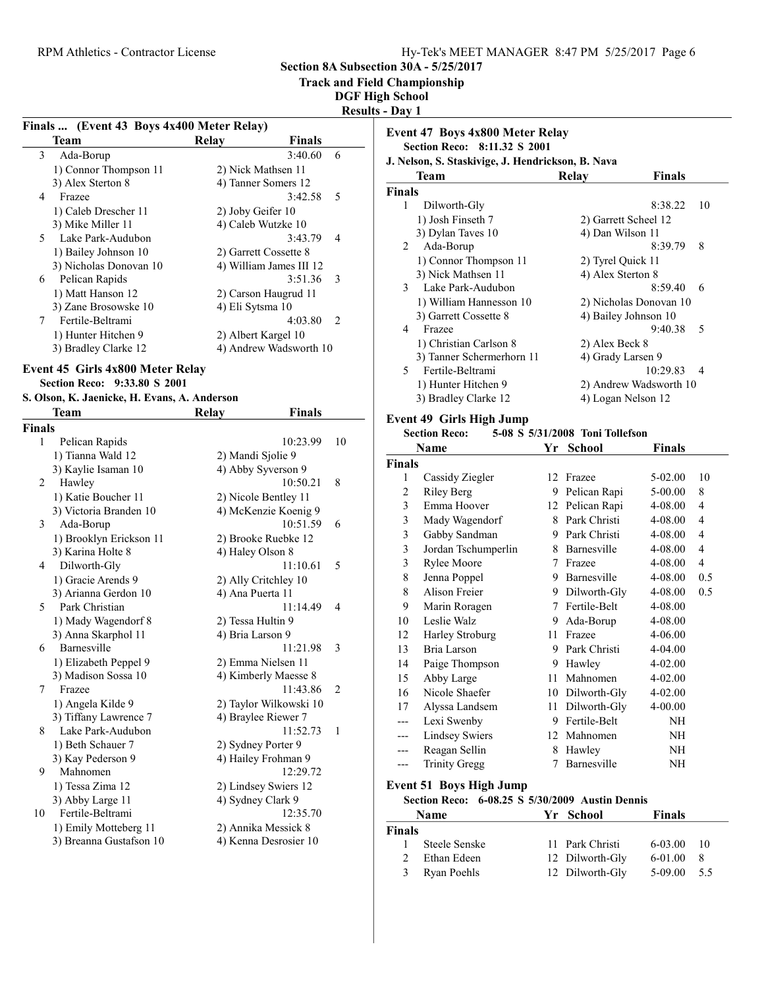Section 8A Subsection 30A - 5/25/2017

Track and Field Championship

DGF High School Results - Day 1

|             |                                           |                         | 11 L.J U      |
|-------------|-------------------------------------------|-------------------------|---------------|
|             | Finals  (Event 43 Boys 4x400 Meter Relay) |                         |               |
|             | Team                                      | <b>Finals</b><br>Relay  |               |
| 3           | Ada-Borup                                 | 3:40.60                 | 6             |
|             | 1) Connor Thompson 11                     | 2) Nick Mathsen 11      |               |
|             | 3) Alex Sterton 8                         | 4) Tanner Somers 12     |               |
| 4           | Frazee                                    | 3:42.58                 | - 5           |
|             | 1) Caleb Drescher 11                      | 2) Joby Geifer 10       |               |
|             | 3) Mike Miller 11                         | 4) Caleb Wutzke 10      |               |
|             | 5 Lake Park-Audubon                       | 3:43.79                 | 4             |
|             | 1) Bailey Johnson 10                      | 2) Garrett Cossette 8   |               |
|             | 3) Nicholas Donovan 10                    | 4) William James III 12 |               |
| 6           | Pelican Rapids                            | 3:51.36                 | -3            |
|             | 1) Matt Hanson 12                         | 2) Carson Haugrud 11    |               |
|             | 3) Zane Brosowske 10                      | 4) Eli Sytsma 10        |               |
| $7^{\circ}$ | Fertile-Beltrami                          | 4:03.80                 | $\mathcal{L}$ |
|             | 1) Hunter Hitchen 9                       | 2) Albert Kargel 10     |               |
|             | 3) Bradley Clarke 12                      | 4) Andrew Wadsworth 10  |               |
|             |                                           |                         |               |

### Event 45 Girls 4x800 Meter Relay Section Reco: 9:33.80 S 2001

# S. Olson, K. Jaenicke, H. Evans, A. Anderson

|                          | Team                    | Relay            | Finals                 |                |
|--------------------------|-------------------------|------------------|------------------------|----------------|
| Finals                   |                         |                  |                        |                |
| 1                        | Pelican Rapids          |                  | 10:23.99               | 10             |
|                          | 1) Tianna Wald 12       |                  | 2) Mandi Sjolie 9      |                |
|                          | 3) Kaylie Isaman 10     |                  | 4) Abby Syverson 9     |                |
| 2                        | Hawley                  |                  | 10:50.21               | 8              |
|                          | 1) Katie Boucher 11     |                  | 2) Nicole Bentley 11   |                |
|                          | 3) Victoria Branden 10  |                  | 4) McKenzie Koenig 9   |                |
| 3                        | Ada-Borup               |                  | 10:51.59               | 6              |
|                          | 1) Brooklyn Erickson 11 |                  | 2) Brooke Ruebke 12    |                |
|                          | 3) Karina Holte 8       |                  | 4) Haley Olson 8       |                |
| 4                        | Dilworth-Gly            |                  | 11:10.61               | 5              |
|                          | 1) Gracie Arends 9      |                  | 2) Ally Critchley 10   |                |
|                          | 3) Arianna Gerdon 10    | 4) Ana Puerta 11 |                        |                |
| $\overline{\phantom{0}}$ | Park Christian          |                  | 11:14.49               | 4              |
|                          | 1) Mady Wagendorf 8     |                  | 2) Tessa Hultin 9      |                |
|                          | 3) Anna Skarphol 11     | 4) Bria Larson 9 |                        |                |
| 6                        | Barnesville             |                  | 11:21.98               | 3              |
|                          | 1) Elizabeth Peppel 9   |                  | 2) Emma Nielsen 11     |                |
|                          | 3) Madison Sossa 10     |                  | 4) Kimberly Maesse 8   |                |
| 7                        | Frazee                  |                  | 11:43.86               | $\mathfrak{D}$ |
|                          | 1) Angela Kilde 9       |                  | 2) Taylor Wilkowski 10 |                |
|                          | 3) Tiffany Lawrence 7   |                  | 4) Braylee Riewer 7    |                |
| 8                        | Lake Park-Audubon       |                  | 11:52.73               | 1              |
|                          | 1) Beth Schauer 7       |                  | 2) Sydney Porter 9     |                |
|                          | 3) Kay Pederson 9       |                  | 4) Hailey Frohman 9    |                |
| 9                        | Mahnomen                |                  | 12:29.72               |                |
|                          | 1) Tessa Zima 12        |                  | 2) Lindsey Swiers 12   |                |
|                          | 3) Abby Large 11        |                  | 4) Sydney Clark 9      |                |
| 10                       | Fertile-Beltrami        |                  | 12:35.70               |                |
|                          | 1) Emily Motteberg 11   |                  | 2) Annika Messick 8    |                |
|                          | 3) Breanna Gustafson 10 |                  | 4) Kenna Desrosier 10  |                |

|               | Event 47 Boys 4x800 Meter Relay<br>Section Reco: 8:11.32 S 2001 |                        |     |
|---------------|-----------------------------------------------------------------|------------------------|-----|
|               | J. Nelson, S. Staskivige, J. Hendrickson, B. Nava<br>Team       | <b>Finals</b><br>Relay |     |
| <b>Finals</b> |                                                                 |                        |     |
| 1             | Dilworth-Gly                                                    | 8:38.22                | 10  |
|               | 1) Josh Finseth 7                                               | 2) Garrett Scheel 12   |     |
|               | 3) Dylan Taves 10                                               | 4) Dan Wilson 11       |     |
| 2             | Ada-Borup                                                       | 8:39.79                | 8   |
|               | 1) Connor Thompson 11                                           | 2) Tyrel Quick 11      |     |
|               | 3) Nick Mathsen 11                                              | 4) Alex Sterton 8      |     |
| 3             | Lake Park-Audubon                                               | 8:59.40                | 6   |
|               | 1) William Hannesson 10                                         | 2) Nicholas Donovan 10 |     |
|               | 3) Garrett Cossette 8                                           | 4) Bailey Johnson 10   |     |
| 4             | Frazee                                                          | 9:40.38                | 5   |
|               | 1) Christian Carlson 8                                          | 2) Alex Beck 8         |     |
|               | 3) Tanner Schermerhorn 11                                       | 4) Grady Larsen 9      |     |
| 5.            | Fertile-Beltrami                                                | 10:29.83               | - 4 |
|               | 1) Hunter Hitchen 9                                             | 2) Andrew Wadsworth 10 |     |
|               | 3) Bradley Clarke 12                                            | 4) Logan Nelson 12     |     |
|               |                                                                 |                        |     |

### Event 49 Girls High Jump

# Section Reco:  $5-08$  S  $5/31/2008$  Toni Tollefson

|        | Name                                        | Yr | <b>School</b> | Finals  |                |
|--------|---------------------------------------------|----|---------------|---------|----------------|
| Finals |                                             |    |               |         |                |
| 1      | Cassidy Ziegler                             | 12 | Frazee        | 5-02.00 | 10             |
| 2      | Riley Berg                                  | 9  | Pelican Rapi  | 5-00.00 | 8              |
| 3      | Emma Hoover                                 | 12 | Pelican Rapi  | 4-08.00 | 4              |
| 3      | Mady Wagendorf                              | 8  | Park Christi  | 4-08.00 | 4              |
| 3      | Gabby Sandman                               | 9  | Park Christi  | 4-08.00 | 4              |
| 3      | Jordan Tschumperlin                         | 8  | Barnesville   | 4-08.00 | 4              |
| 3      | Rylee Moore                                 | 7  | Frazee        | 4-08.00 | $\overline{4}$ |
| 8      | Jenna Poppel                                | 9  | Barnesville   | 4-08.00 | 0.5            |
| 8      | Alison Freier                               | 9. | Dilworth-Gly  | 4-08.00 | 0.5            |
| 9      | Marin Roragen                               | 7  | Fertile-Belt  | 4-08.00 |                |
| 10     | Leslie Walz                                 | 9  | Ada-Borup     | 4-08.00 |                |
| 12     | <b>Harley Stroburg</b>                      | 11 | Frazee        | 4-06.00 |                |
| 13     | Bria Larson                                 | 9  | Park Christi  | 4-04.00 |                |
| 14     | Paige Thompson                              | 9  | Hawley        | 4-02.00 |                |
| 15     | Abby Large                                  | 11 | Mahnomen      | 4-02.00 |                |
| 16     | Nicole Shaefer                              | 10 | Dilworth-Gly  | 4-02.00 |                |
| 17     | Alyssa Landsem                              | 11 | Dilworth-Gly  | 4-00.00 |                |
| ---    | Lexi Swenby                                 | 9  | Fertile-Belt  | NH      |                |
|        | <b>Lindsey Swiers</b>                       | 12 | Mahnomen      | NH      |                |
| ---    | Reagan Sellin                               | 8  | Hawley        | NH      |                |
|        | <b>Trinity Gregg</b>                        | 7  | Barnesville   | NH      |                |
| n      | $\mathbf{r}$<br>$\mathbf{r}$ , $\mathbf{r}$ |    |               |         |                |

### Event 51 Boys High Jump

# Section Reco:  $6-08.25 \text{ s } 5/30/2009$  Austin Dennis

| <b>Name</b>   |               | Yr School       | <b>Finals</b> |     |
|---------------|---------------|-----------------|---------------|-----|
| Finals        |               |                 |               |     |
|               | Steele Senske | 11 Park Christi | $6-03.00$ 10  |     |
| $\mathcal{D}$ | Ethan Edeen   | 12 Dilworth-Gly | 6-01.00       | - 8 |
| 3             | Ryan Poehls   | 12 Dilworth-Gly | $5-09.00$ 5.5 |     |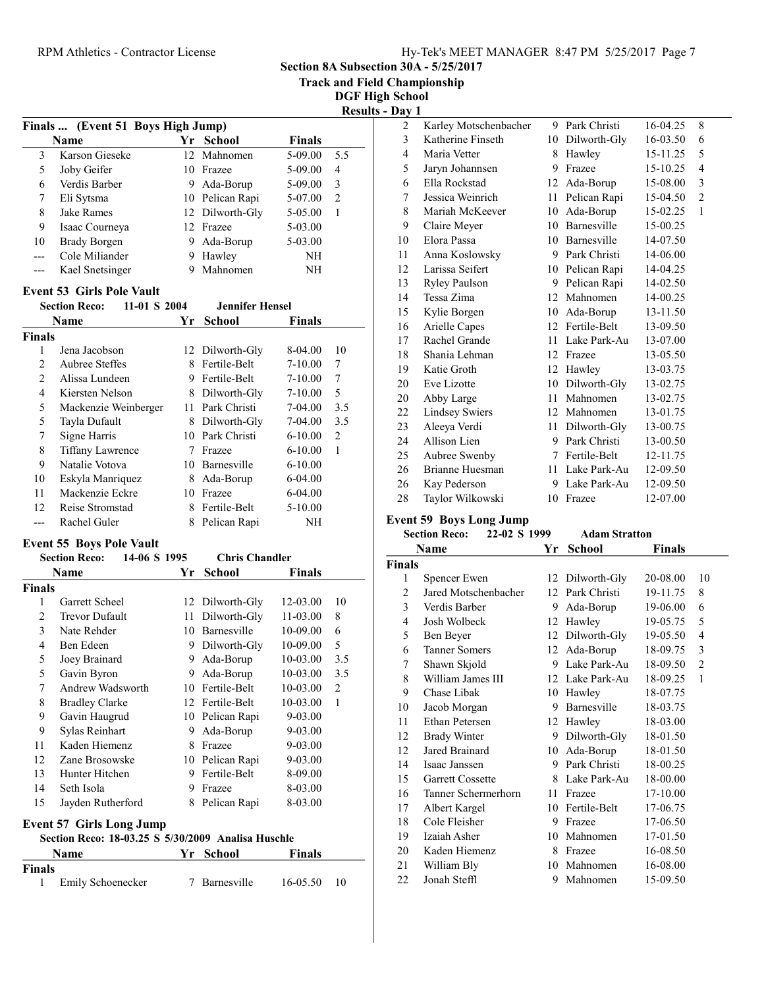Section 8A Subsection 30A - 5/25/2017

Track and Field Championship

DGF High School

| <b>Results - Day 1</b> |  |  |
|------------------------|--|--|
|                        |  |  |

|                                                                | Finals  (Event 51 Boys High Jump)                  |    |                       |               |                |  |  |  |  |
|----------------------------------------------------------------|----------------------------------------------------|----|-----------------------|---------------|----------------|--|--|--|--|
|                                                                | <b>Name</b>                                        |    | Yr School             | <b>Finals</b> |                |  |  |  |  |
| 3                                                              | Karson Gieseke                                     | 12 | Mahnomen              | 5-09.00       | 5.5            |  |  |  |  |
| 5                                                              | Joby Geifer                                        |    | 10 Frazee             | 5-09.00       | $\overline{4}$ |  |  |  |  |
| 6                                                              | Verdis Barber                                      | 9  | Ada-Borup             | 5-09.00       | 3              |  |  |  |  |
| 7                                                              | Eli Sytsma                                         |    | 10 Pelican Rapi       | 5-07.00       | 2              |  |  |  |  |
| 8                                                              | Jake Rames                                         |    | 12 Dilworth-Gly       | 5-05.00       | $\mathbf{1}$   |  |  |  |  |
| 9                                                              | Isaac Courneya                                     |    | 12 Frazee             | 5-03.00       |                |  |  |  |  |
| 10                                                             | <b>Brady Borgen</b>                                |    | 9 Ada-Borup           | 5-03.00       |                |  |  |  |  |
| $---$                                                          | Cole Miliander                                     |    | 9 Hawley              | NH            |                |  |  |  |  |
| ---                                                            | Kael Snetsinger                                    | 9  | Mahnomen              | NH            |                |  |  |  |  |
|                                                                | <b>Event 53 Girls Pole Vault</b>                   |    |                       |               |                |  |  |  |  |
| <b>Jennifer Hensel</b><br><b>Section Reco:</b><br>11-01 S 2004 |                                                    |    |                       |               |                |  |  |  |  |
|                                                                | <b>Name</b>                                        | Yr | <b>School</b>         | Finals        |                |  |  |  |  |
| <b>Finals</b>                                                  |                                                    |    |                       |               |                |  |  |  |  |
| 1                                                              | Jena Jacobson                                      |    | 12 Dilworth-Gly       | 8-04.00       | 10             |  |  |  |  |
| $\overline{2}$                                                 | Aubree Steffes                                     |    | 8 Fertile-Belt        | $7 - 10.00$   | 7              |  |  |  |  |
| $\mathfrak{2}$                                                 | Alissa Lundeen                                     | 9  | Fertile-Belt          | $7 - 10.00$   | 7              |  |  |  |  |
| $\overline{4}$                                                 | Kiersten Nelson                                    |    | 8 Dilworth-Gly        | $7 - 10.00$   | 5              |  |  |  |  |
| 5                                                              | Mackenzie Weinberger                               |    | 11 Park Christi       | 7-04.00       | 3.5            |  |  |  |  |
| 5                                                              | Tayla Dufault                                      |    | 8 Dilworth-Gly        | 7-04.00       | 3.5            |  |  |  |  |
| 7                                                              | Signe Harris                                       |    | 10 Park Christi       | $6 - 10.00$   | 2              |  |  |  |  |
| 8                                                              | <b>Tiffany Lawrence</b>                            |    | 7 Frazee              | $6 - 10.00$   | 1              |  |  |  |  |
| 9                                                              | Natalie Votova                                     |    | 10 Barnesville        | $6 - 10.00$   |                |  |  |  |  |
| 10                                                             | Eskyla Manriquez                                   |    | 8 Ada-Borup           | 6-04.00       |                |  |  |  |  |
| 11                                                             | Mackenzie Eckre                                    |    | 10 Frazee             | 6-04.00       |                |  |  |  |  |
| 12                                                             | Reise Stromstad                                    |    | 8 Fertile-Belt        | 5-10.00       |                |  |  |  |  |
| $---$                                                          | Rachel Guler                                       | 8  | Pelican Rapi          | NH            |                |  |  |  |  |
|                                                                | <b>Event 55 Boys Pole Vault</b>                    |    |                       |               |                |  |  |  |  |
|                                                                | <b>Section Reco:</b><br>14-06 S 1995               |    | <b>Chris Chandler</b> |               |                |  |  |  |  |
|                                                                | Name                                               | Yr | <b>School</b>         | <b>Finals</b> |                |  |  |  |  |
| <b>Finals</b>                                                  |                                                    |    |                       |               |                |  |  |  |  |
| 1                                                              | Garrett Scheel                                     |    | 12 Dilworth-Gly       | 12-03.00      | 10             |  |  |  |  |
| 2                                                              | <b>Trevor Dufault</b>                              | 11 | Dilworth-Gly          | 11-03.00      | 8              |  |  |  |  |
| 3                                                              | Nate Rehder                                        | 10 | Barnesville           | 10-09.00      | 6              |  |  |  |  |
| $\overline{4}$                                                 | Ben Edeen                                          |    | 9 Dilworth-Gly        | 10-09.00      | 5              |  |  |  |  |
| 5                                                              | Joey Brainard                                      | 9  | Ada-Borup             | 10-03.00      | 3.5            |  |  |  |  |
| 5                                                              | Gavin Byron                                        | 9  | Ada-Borup             | 10-03.00      | 3.5            |  |  |  |  |
| 7                                                              | Andrew Wadsworth                                   |    | 10 Fertile-Belt       | 10-03.00      | 2              |  |  |  |  |
| 8                                                              | <b>Bradley Clarke</b>                              |    | 12 Fertile-Belt       | 10-03.00      | 1              |  |  |  |  |
| 9                                                              | Gavin Haugrud                                      |    | 10 Pelican Rapi       | 9-03.00       |                |  |  |  |  |
| 9                                                              | Sylas Reinhart                                     | 9  | Ada-Borup             | 9-03.00       |                |  |  |  |  |
| 11                                                             | Kaden Hiemenz                                      | 8  | Frazee                | 9-03.00       |                |  |  |  |  |
| 12                                                             | Zane Brosowske                                     |    | 10 Pelican Rapi       | 9-03.00       |                |  |  |  |  |
| 13                                                             | Hunter Hitchen                                     | 9. | Fertile-Belt          | 8-09.00       |                |  |  |  |  |
| 14                                                             | Seth Isola                                         |    | 9 Frazee              | 8-03.00       |                |  |  |  |  |
| 15                                                             | Jayden Rutherford                                  |    | 8 Pelican Rapi        | 8-03.00       |                |  |  |  |  |
|                                                                | <b>Event 57 Girls Long Jump</b>                    |    |                       |               |                |  |  |  |  |
|                                                                | Section Reco: 18-03.25 S 5/30/2009 Analisa Huschle |    |                       |               |                |  |  |  |  |
|                                                                | Name                                               | Yr | <b>School</b>         | Finals        |                |  |  |  |  |
| <b>Finals</b><br>1                                             | Emily Schoenecker                                  |    | 7 Barnesville         | 16-05.50      | 10             |  |  |  |  |
|                                                                |                                                    |    |                       |               |                |  |  |  |  |

| 2              | Karley Motschenbacher | 9  | Park Christi       | 16-04.25 | 8              |
|----------------|-----------------------|----|--------------------|----------|----------------|
| 3              | Katherine Finseth     | 10 | Dilworth-Gly       | 16-03.50 | 6              |
| $\overline{4}$ | Maria Vetter          | 8  | Hawley             | 15-11.25 | 5              |
| 5              | Jaryn Johannsen       | 9  | Frazee             | 15-10.25 | $\overline{4}$ |
| 6              | Ella Rockstad         | 12 | Ada-Borup          | 15-08.00 | 3              |
| 7              | Jessica Weinrich      | 11 | Pelican Rapi       | 15-04.50 | $\overline{2}$ |
| 8              | Mariah McKeever       | 10 | Ada-Borup          | 15-02.25 | 1              |
| 9              | Claire Meyer          | 10 | <b>Barnesville</b> | 15-00.25 |                |
| 10             | Elora Passa           | 10 | Barnesville        | 14-07.50 |                |
| 11             | Anna Koslowsky        | 9  | Park Christi       | 14-06.00 |                |
| 12             | Larissa Seifert       | 10 | Pelican Rapi       | 14-04.25 |                |
| 13             | Ryley Paulson         | 9  | Pelican Rapi       | 14-02.50 |                |
| 14             | Tessa Zima            | 12 | Mahnomen           | 14-00.25 |                |
| 15             | Kylie Borgen          | 10 | Ada-Borup          | 13-11.50 |                |
| 16             | Arielle Capes         | 12 | Fertile-Belt       | 13-09.50 |                |
| 17             | Rachel Grande         | 11 | Lake Park-Au       | 13-07.00 |                |
| 18             | Shania Lehman         | 12 | Frazee             | 13-05.50 |                |
| 19             | Katie Groth           | 12 | Hawley             | 13-03.75 |                |
| 20             | Eve Lizotte           | 10 | Dilworth-Gly       | 13-02.75 |                |
| 20             | Abby Large            | 11 | Mahnomen           | 13-02.75 |                |
| 22             | <b>Lindsey Swiers</b> | 12 | Mahnomen           | 13-01.75 |                |
| 23             | Aleeya Verdi          | 11 | Dilworth-Gly       | 13-00.75 |                |
| 24             | Allison Lien          | 9  | Park Christi       | 13-00.50 |                |
| 25             | Aubree Swenby         | 7  | Fertile-Belt       | 12-11.75 |                |
| 26             | Brianne Huesman       | 11 | Lake Park-Au       | 12-09.50 |                |
| 26             | Kay Pederson          | 9  | Lake Park-Au       | 12-09.50 |                |
| 28             | Taylor Wilkowski      | 10 | Frazee             | 12-07.00 |                |

#### Event 59 Boys Long Jump

### Section Reco: 22-02 S 1999 Adam Stratton Name  $Yr$  School Finals Finals 1 Spencer Ewen 12 Dilworth-Gly 20-08.00 10<br>2 Jared Motschenbacher 12 Park Christi 19-11.75 8 2 19-11.75 8 Jared Motschenbacher 12 Park Christi 3 19-06.00 6 Verdis Barber 9 Ada-Borup 4 19-05.75 5 Josh Wolbeck 12 Hawley 5 Ben Beyer 12 Dilworth-Gly 19-05.50 4 6 18-09.75 3 Tanner Somers 12 Ada-Borup 7 Shawn Skjold 9 Lake Park-Au 18-09.50 2 8 William James III 12 Lake Park-Au 18-09.25 1 9 Chase Libak 10 Hawley 18-07.75 10 Jacob Morgan 9 Barnesville 18-03.75 11 Ethan Petersen 12 Hawley 18-03.00 12 Brady Winter 9 Dilworth-Gly 18-01.50 12 18-01.50 Jared Brainard 10 Ada-Borup 14 18-00.25 Isaac Janssen 9 Park Christi 15 Garrett Cossette 8 Lake Park-Au 18-00.00 16 17-10.00 Tanner Schermerhorn 11 Frazee 17 Albert Kargel 10 Fertile-Belt 17-06.75 18 Cole Fleisher 9 Frazee 17-06.50 19 Izaiah Asher 10 Mahnomen 17-01.50<br>20 Kaden Hiemenz 8 Frazee 16-08.50 20 Kaden Hiemenz 8 Frazee 16-08.50 21 William Bly 10 Mahnomen 16-08.00 22 Jonah Steffl 9 Mahnomen 15-09.50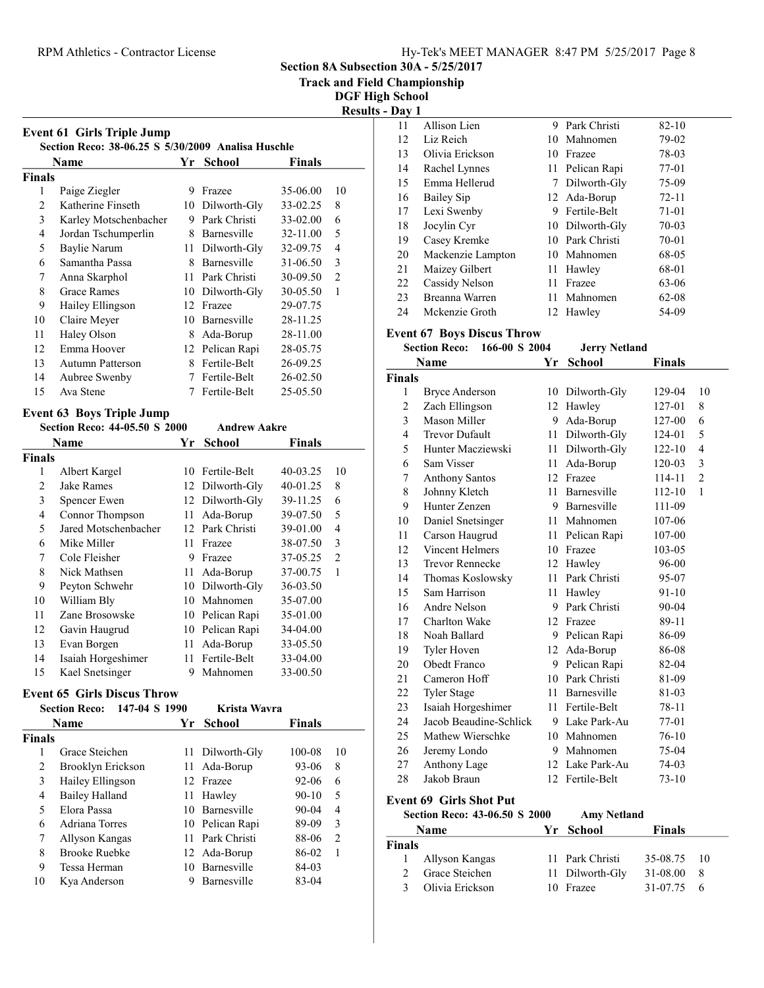Section 8A Subsection 30A - 5/25/2017

Track and Field Championship

DGF High School Results - Day 1

|                |                                                    |    |                                |               | ****           |
|----------------|----------------------------------------------------|----|--------------------------------|---------------|----------------|
|                | <b>Event 61 Girls Triple Jump</b>                  |    |                                |               |                |
|                | Section Reco: 38-06.25 S 5/30/2009 Analisa Huschle |    |                                |               |                |
|                | <b>Name</b>                                        |    | Yr School                      | <b>Finals</b> |                |
| <b>Finals</b>  |                                                    |    |                                |               |                |
| 1              | Paige Ziegler                                      | 9  | Frazee                         | 35-06.00      | 10             |
| $\overline{2}$ | Katherine Finseth                                  |    | 10 Dilworth-Gly                | 33-02.25      | 8              |
| 3              | Karley Motschenbacher                              |    | 9 Park Christi                 | 33-02.00      | 6              |
| $\overline{4}$ | Jordan Tschumperlin                                |    | 8 Barnesville                  | 32-11.00      | 5              |
| 5              | <b>Baylie Narum</b>                                | 11 | Dilworth-Gly                   | 32-09.75      | 4              |
| 6              | Samantha Passa                                     | 8  | Barnesville                    | 31-06.50      | 3              |
| 7              | Anna Skarphol                                      | 11 | Park Christi                   | 30-09.50      | $\overline{c}$ |
| 8              | <b>Grace Rames</b>                                 |    | 10 Dilworth-Gly                | 30-05.50      | 1              |
| 9              | Hailey Ellingson                                   |    | 12 Frazee                      | 29-07.75      |                |
| 10             | Claire Meyer                                       | 10 | Barnesville                    | 28-11.25      |                |
| 11             | Haley Olson                                        |    | 8 Ada-Borup                    | 28-11.00      |                |
| 12             | Emma Hoover                                        |    | 12 Pelican Rapi                | 28-05.75      |                |
| 13             | <b>Autumn Patterson</b>                            | 8  | Fertile-Belt                   | 26-09.25      |                |
| 14             | Aubree Swenby                                      | 7  | Fertile-Belt                   | 26-02.50      |                |
| 15             | Ava Stene                                          | 7  | Fertile-Belt                   | 25-05.50      |                |
|                | <b>Event 63 Boys Triple Jump</b>                   |    |                                |               |                |
|                | Section Reco: 44-05.50 S 2000                      |    | <b>Andrew Aakre</b>            |               |                |
|                | Name                                               | Yr | <b>School</b><br><b>Finals</b> |               |                |
| <b>Finals</b>  |                                                    |    |                                |               |                |
| 1              | Albert Kargel                                      |    | 10 Fertile-Belt                | 40-03.25      | 10             |
| $\overline{2}$ | <b>Jake Rames</b>                                  |    | 12 Dilworth-Gly                | 40-01.25      | 8              |
| 3              | Spencer Ewen                                       |    | 12 Dilworth-Gly                | 39-11.25      | 6              |
| $\overline{4}$ | Connor Thompson                                    |    | 11 Ada-Borup                   | 39-07.50      | 5              |
| 5              | Jared Motschenbacher                               |    | 12 Park Christi                | 39-01.00      | 4              |
| 6              | Mike Miller                                        | 11 | Frazee                         | 38-07.50      | 3              |
| 7              | Cole Fleisher                                      | 9  | Frazee                         | 37-05.25      | $\overline{c}$ |
| 8              | Nick Mathsen                                       | 11 | Ada-Borup                      | 37-00.75      | $\mathbf{1}$   |
| 9              | Peyton Schwehr                                     |    | 10 Dilworth-Gly                | 36-03.50      |                |
| 10             | William Bly                                        |    | 10 Mahnomen                    | 35-07.00      |                |
| 11             | Zane Brosowske                                     |    | 10 Pelican Rapi                | 35-01.00      |                |
| 12             | Gavin Haugrud                                      | 10 | Pelican Rapi                   | 34-04.00      |                |
| 13             | Evan Borgen                                        | 11 | Ada-Borup                      | 33-05.50      |                |
| 14             | Isaiah Horgeshimer                                 | 11 | Fertile-Belt                   | 33-04.00      |                |

# Event 65 Girls Discus Throw

|               | 147-04 S 1990<br><b>Section Reco:</b> |     | Krista Wavra    |               |                |
|---------------|---------------------------------------|-----|-----------------|---------------|----------------|
|               | <b>Name</b>                           | Yr. | School          | <b>Finals</b> |                |
| <b>Finals</b> |                                       |     |                 |               |                |
|               | Grace Steichen                        |     | 11 Dilworth-Gly | 100-08        | 10             |
| 2             | Brooklyn Erickson                     | 11. | Ada-Borup       | 93-06         | 8              |
| 3             | Hailey Ellingson                      |     | 12 Frazee       | $92 - 06$     | 6              |
| 4             | <b>Bailey Halland</b>                 | 11. | Hawley          | $90 - 10$     | 5              |
| 5             | Elora Passa                           | 10. | Barnesville     | $90 - 04$     | 4              |
| 6             | Adriana Torres                        |     | 10 Pelican Rapi | 89-09         | 3              |
| 7             | Allyson Kangas                        | 11  | Park Christi    | 88-06         | $\overline{2}$ |
| 8             | <b>Brooke Ruebke</b>                  | 12  | Ada-Borup       | 86-02         | 1              |
| 9             | Tessa Herman                          | 10  | Barnesville     | 84-03         |                |
| 10            | Kya Anderson                          |     | Barnesville     | 83-04         |                |

15 33-00.50 Kael Snetsinger 9 Mahnomen

| va, 1 |                   |     |                 |           |
|-------|-------------------|-----|-----------------|-----------|
| 11    | Allison Lien      | 9   | Park Christi    | $82 - 10$ |
| 12    | Liz Reich         |     | 10 Mahnomen     | 79-02     |
| 13    | Olivia Erickson   | 10. | Frazee          | 78-03     |
| 14    | Rachel Lynnes     |     | 11 Pelican Rapi | 77-01     |
| 15    | Emma Hellerud     | 7   | Dilworth-Gly    | 75-09     |
| 16    | Bailey Sip        |     | 12 Ada-Borup    | $72 - 11$ |
| 17    | Lexi Swenby       | 9   | Fertile-Belt    | $71-01$   |
| 18    | Jocylin Cyr       |     | 10 Dilworth-Gly | 70-03     |
| 19    | Casey Kremke      |     | 10 Park Christi | 70-01     |
| 20    | Mackenzie Lampton |     | 10 Mahnomen     | 68-05     |
| 21    | Maizey Gilbert    |     | 11 Hawley       | 68-01     |
| 22    | Cassidy Nelson    | 11  | Frazee          | 63-06     |
| 23    | Breanna Warren    | 11  | Mahnomen        | 62-08     |
| 24    | Mckenzie Groth    |     | 12 Hawley       | 54-09     |

|               | <b>Section Reco:</b><br>166-00 S 2004 |    | <b>Jerry Netland</b> |           |                |
|---------------|---------------------------------------|----|----------------------|-----------|----------------|
|               | Name                                  | Yr | <b>School</b>        | Finals    |                |
| <b>Finals</b> |                                       |    |                      |           |                |
| 1             | <b>Bryce Anderson</b>                 | 10 | Dilworth-Gly         | 129-04    | 10             |
| 2             | Zach Ellingson                        | 12 | Hawley               | 127-01    | 8              |
| 3             | Mason Miller                          | 9  | Ada-Borup            | 127-00    | 6              |
| 4             | <b>Trevor Dufault</b>                 | 11 | Dilworth-Gly         | 124-01    | 5              |
| 5             | Hunter Macziewski                     | 11 | Dilworth-Gly         | 122-10    | $\overline{4}$ |
| 6             | Sam Visser                            | 11 | Ada-Borup            | 120-03    | 3              |
| 7             | <b>Anthony Santos</b>                 | 12 | Frazee               | 114-11    | $\overline{2}$ |
| 8             | Johnny Kletch                         | 11 | Barnesville          | 112-10    | $\mathbf{1}$   |
| 9             | Hunter Zenzen                         |    | 9 Barnesville        | 111-09    |                |
| 10            | Daniel Snetsinger                     |    | 11 Mahnomen          | 107-06    |                |
| 11            | Carson Haugrud                        | 11 | Pelican Rapi         | 107-00    |                |
| 12            | <b>Vincent Helmers</b>                | 10 | Frazee               | 103-05    |                |
| 13            | <b>Trevor Rennecke</b>                | 12 | Hawley               | 96-00     |                |
| 14            | Thomas Koslowsky                      | 11 | Park Christi         | 95-07     |                |
| 15            | Sam Harrison                          | 11 | Hawley               | $91 - 10$ |                |
| 16            | Andre Nelson                          |    | 9 Park Christi       | $90 - 04$ |                |
| 17            | Charlton Wake                         | 12 | Frazee               | 89-11     |                |
| 18            | Noah Ballard                          |    | 9 Pelican Rapi       | 86-09     |                |
| 19            | Tyler Hoven                           | 12 | Ada-Borup            | 86-08     |                |
| 20            | Obedt Franco                          | 9  | Pelican Rapi         | 82-04     |                |
| 21            | Cameron Hoff                          | 10 | Park Christi         | 81-09     |                |
| 22            | <b>Tyler Stage</b>                    | 11 | Barnesville          | 81-03     |                |
| 23            | Isaiah Horgeshimer                    | 11 | Fertile-Belt         | 78-11     |                |
| 24            | Jacob Beaudine-Schlick                | 9  | Lake Park-Au         | 77-01     |                |
| 25            | Mathew Wierschke                      | 10 | Mahnomen             | $76-10$   |                |

# Event 69 Girls Shot Put

27 Anthony Lage<br>28 Jakob Braun

| Section Reco: 43-06.50 S 2000 |                 |  | <b>Amy Netland</b> |                    |  |
|-------------------------------|-----------------|--|--------------------|--------------------|--|
|                               | Name            |  | Yr School          | Finals             |  |
| <b>Finals</b>                 |                 |  |                    |                    |  |
| $\mathbf{L}$                  | Allyson Kangas  |  | 11 Park Christi    | 35-08.75 10        |  |
|                               | Grace Steichen  |  | 11 Dilworth-Gly    | 31-08.00           |  |
| $\mathbf{R}$                  | Olivia Erickson |  | 10 Frazee          | $31-07.75 \quad 6$ |  |

26 Jeremy Londo 9 Mahnomen 75-04<br>27 Anthony Lage 12 Lake Park-Au 74-03

28 Jakob Braun 12 Fertile-Belt 73-10